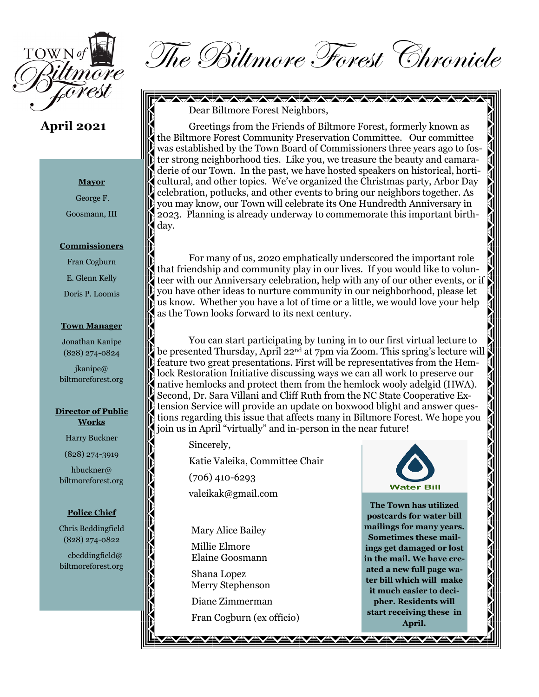

## **April 2021**

#### **Mayor**

George F.

Goosmann, III

#### **Commissioners**

Fran Cogburn E. Glenn Kelly Doris P. Loomis

#### **Town Manager**

Jonathan Kanipe (828) 274-0824

jkanipe@ biltmoreforest.org

#### **Director of Public Works**

Harry Buckner

(828) 274-3919

hbuckner@ biltmoreforest.org

#### **Police Chief**

Chris Beddingfield (828) 274-0822

 cbeddingfield@ biltmoreforest.org

The Biltmore Forest Chronicle

**AVAVAVAVAVAVAVAV** 

Dear Biltmore Forest Neighbors,

Greetings from the Friends of Biltmore Forest, formerly known as the Biltmore Forest Community Preservation Committee. Our committee was established by the Town Board of Commissioners three years ago to foster strong neighborhood ties. Like you, we treasure the beauty and camaraderie of our Town. In the past, we have hosted speakers on historical, horticultural, and other topics. We've organized the Christmas party, Arbor Day celebration, potlucks, and other events to bring our neighbors together. As you may know, our Town will celebrate its One Hundredth Anniversary in 2023. Planning is already underway to commemorate this important birthday.

For many of us, 2020 emphatically underscored the important role that friendship and community play in our lives. If you would like to volunteer with our Anniversary celebration, help with any of our other events, or if you have other ideas to nurture community in our neighborhood, please let us know. Whether you have a lot of time or a little, we would love your help as the Town looks forward to its next century.

You can start participating by tuning in to our first virtual lecture to be presented Thursday, April 22nd at 7pm via Zoom. This spring's lecture will feature two great presentations. First will be representatives from the Hemlock Restoration Initiative discussing ways we can all work to preserve our native hemlocks and protect them from the hemlock wooly adelgid (HWA). Second, Dr. Sara Villani and Cliff Ruth from the NC State Cooperative Extension Service will provide an update on boxwood blight and answer questions regarding this issue that affects many in Biltmore Forest. We hope you join us in April "virtually" and in-person in the near future!

Sincerely,

Katie Valeika, Committee Chair

(706) 410-6293

valeikak@gmail.com

Mary Alice Bailey Millie Elmore Elaine Goosmann

Shana Lopez Merry Stephenson

Diane Zimmerman

Fran Cogburn (ex officio)

<u>AVAYAYAYAYAYAYA</u>



**The Town has utilized postcards for water bill mailings for many years. Sometimes these mailings get damaged or lost in the mail. We have created a new full page water bill which will make it much easier to decipher. Residents will start receiving these in April.**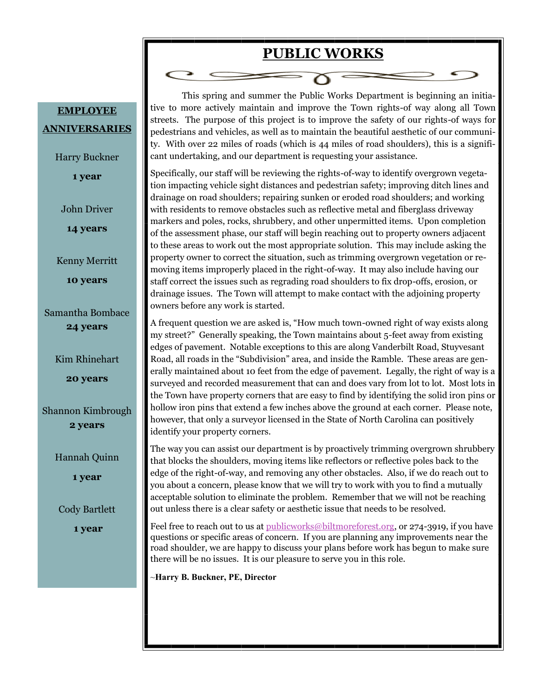# **PUBLIC WORKS**

This spring and summer the Public Works Department is beginning an initiative to more actively maintain and improve the Town rights-of way along all Town streets. The purpose of this project is to improve the safety of our rights-of ways for pedestrians and vehicles, as well as to maintain the beautiful aesthetic of our community. With over 22 miles of roads (which is 44 miles of road shoulders), this is a significant undertaking, and our department is requesting your assistance.

Specifically, our staff will be reviewing the rights-of-way to identify overgrown vegetation impacting vehicle sight distances and pedestrian safety; improving ditch lines and drainage on road shoulders; repairing sunken or eroded road shoulders; and working with residents to remove obstacles such as reflective metal and fiberglass driveway markers and poles, rocks, shrubbery, and other unpermitted items. Upon completion of the assessment phase, our staff will begin reaching out to property owners adjacent to these areas to work out the most appropriate solution. This may include asking the property owner to correct the situation, such as trimming overgrown vegetation or removing items improperly placed in the right-of-way. It may also include having our staff correct the issues such as regrading road shoulders to fix drop-offs, erosion, or drainage issues. The Town will attempt to make contact with the adjoining property owners before any work is started.

A frequent question we are asked is, "How much town-owned right of way exists along my street?" Generally speaking, the Town maintains about 5-feet away from existing edges of pavement. Notable exceptions to this are along Vanderbilt Road, Stuyvesant Road, all roads in the "Subdivision" area, and inside the Ramble. These areas are generally maintained about 10 feet from the edge of pavement. Legally, the right of way is a surveyed and recorded measurement that can and does vary from lot to lot. Most lots in the Town have property corners that are easy to find by identifying the solid iron pins or hollow iron pins that extend a few inches above the ground at each corner. Please note, however, that only a surveyor licensed in the State of North Carolina can positively identify your property corners.

The way you can assist our department is by proactively trimming overgrown shrubbery that blocks the shoulders, moving items like reflectors or reflective poles back to the edge of the right-of-way, and removing any other obstacles. Also, if we do reach out to you about a concern, please know that we will try to work with you to find a mutually acceptable solution to eliminate the problem. Remember that we will not be reaching out unless there is a clear safety or aesthetic issue that needs to be resolved.

Feel free to reach out to us at [publicworks@biltmoreforest.org,](mailto:publicworks@biltmoreforest.org) or 274-3919, if you have questions or specific areas of concern. If you are planning any improvements near the road shoulder, we are happy to discuss your plans before work has begun to make sure there will be no issues. It is our pleasure to serve you in this role.

~**Harry B. Buckner, PE, Director**

**EMPLOYEE ANNIVERSARIES**

Harry Buckner

**1 year**

John Driver

**14 years**

Kenny Merritt

**10 years**

Samantha Bombace **24 years**

Kim Rhinehart

**20 years**

Shannon Kimbrough **2 years**

Hannah Quinn

**1 year**

Cody Bartlett

**1 year**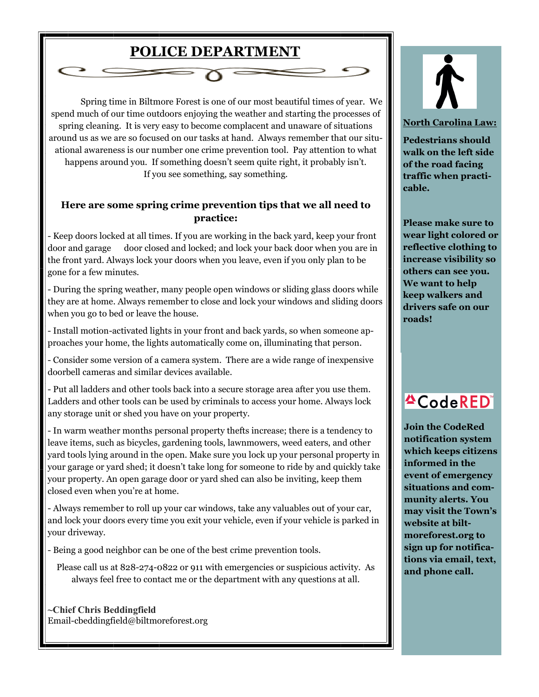# **POLICE DEPARTMENT**

Spring time in Biltmore Forest is one of our most beautiful times of year. We spend much of our time outdoors enjoying the weather and starting the processes of spring cleaning. It is very easy to become complacent and unaware of situations around us as we are so focused on our tasks at hand. Always remember that our situational awareness is our number one crime prevention tool. Pay attention to what happens around you. If something doesn't seem quite right, it probably isn't. If you see something, say something.

### **Here are some spring crime prevention tips that we all need to practice:**

- Keep doors locked at all times. If you are working in the back yard, keep your front door and garage door closed and locked; and lock your back door when you are in the front yard. Always lock your doors when you leave, even if you only plan to be gone for a few minutes.

- During the spring weather, many people open windows or sliding glass doors while they are at home. Always remember to close and lock your windows and sliding doors when you go to bed or leave the house.

- Install motion-activated lights in your front and back yards, so when someone approaches your home, the lights automatically come on, illuminating that person.

- Consider some version of a camera system. There are a wide range of inexpensive doorbell cameras and similar devices available.

- Put all ladders and other tools back into a secure storage area after you use them. Ladders and other tools can be used by criminals to access your home. Always lock any storage unit or shed you have on your property.

- In warm weather months personal property thefts increase; there is a tendency to leave items, such as bicycles, gardening tools, lawnmowers, weed eaters, and other yard tools lying around in the open. Make sure you lock up your personal property in your garage or yard shed; it doesn't take long for someone to ride by and quickly take your property. An open garage door or yard shed can also be inviting, keep them closed even when you're at home.

- Always remember to roll up your car windows, take any valuables out of your car, and lock your doors every time you exit your vehicle, even if your vehicle is parked in your driveway.

- Being a good neighbor can be one of the best crime prevention tools.

Please call us at 828-274-0822 or 911 with emergencies or suspicious activity. As always feel free to contact me or the department with any questions at all.

**~Chief Chris Beddingfield**  Email-cbeddingfield@biltmoreforest.org



**North Carolina Law:**

**Pedestrians should walk on the left side of the road facing traffic when practicable.** 

**Please make sure to wear light colored or reflective clothing to increase visibility so others can see you. We want to help keep walkers and drivers safe on our roads!**



**Join the CodeRed notification system which keeps citizens informed in the event of emergency situations and community alerts. You may visit the Town's website at biltmoreforest.org to sign up for notifications via email, text, and phone call.**